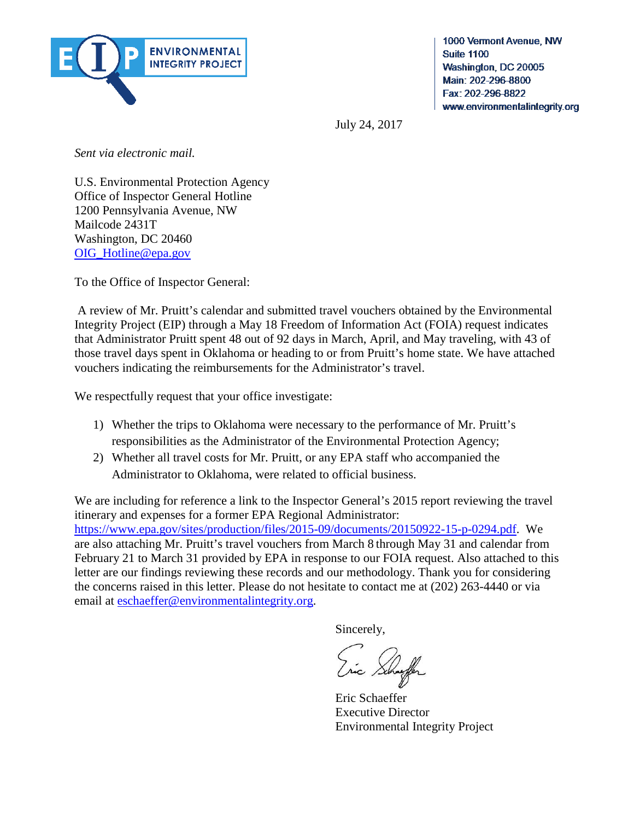

1000 Vermont Avenue, NW **Suite 1100** Washington, DC 20005 Main: 202-296-8800 Fax: 202-296-8822 www.environmentalintegrity.org

July 24, 2017

*Sent via electronic mail.*

U.S. Environmental Protection Agency Office of Inspector General Hotline 1200 Pennsylvania Avenue, NW Mailcode 2431T Washington, DC 20460 [OIG\\_Hotline@epa.gov](mailto:OIG_Hotline@epa.gov)

To the Office of Inspector General:

 A review of Mr. Pruitt's calendar and submitted travel vouchers obtained by the Environmental Integrity Project (EIP) through a May 18 Freedom of Information Act (FOIA) request indicates that Administrator Pruitt spent 48 out of 92 days in March, April, and May traveling, with 43 of those travel days spent in Oklahoma or heading to or from Pruitt's home state. We have attached vouchers indicating the reimbursements for the Administrator's travel.

We respectfully request that your office investigate:

- 1) Whether the trips to Oklahoma were necessary to the performance of Mr. Pruitt's responsibilities as the Administrator of the Environmental Protection Agency;
- 2) Whether all travel costs for Mr. Pruitt, or any EPA staff who accompanied the Administrator to Oklahoma, were related to official business.

We are including for reference a link to the Inspector General's 2015 report reviewing the travel itinerary and expenses for a former EPA Regional Administrator: [https://www.epa.gov/sites/production/files/2015-09/documents/20150922-15-p-0294.pdf.](https://www.epa.gov/sites/production/files/2015-09/documents/20150922-15-p-0294.pdf) We are also attaching Mr. Pruitt's travel vouchers from March 8 through May 31 and calendar from February 21 to March 31 provided by EPA in response to our FOIA request. Also attached to this letter are our findings reviewing these records and our methodology. Thank you for considering the concerns raised in this letter. Please do not hesitate to contact me at (202) 263-4440 or via email at [eschaeffer@environmentalintegrity.org.](mailto:eschaeffer@environmentalintegrity.org)

Sincerely,

 Eric Schaeffer Executive Director Environmental Integrity Project